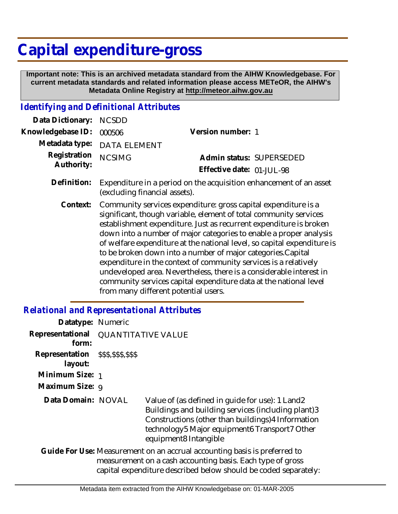## **Capital expenditure-gross**

 **Important note: This is an archived metadata standard from the AIHW Knowledgebase. For current metadata standards and related information please access METeOR, the AIHW's Metadata Online Registry at http://meteor.aihw.gov.au**

## *Identifying and Definitional Attributes*

| Data Dictionary:           | <b>NCSDD</b>                  |                                                                                                                                                                                                                                                                                                                                                                                                                                                                                                |
|----------------------------|-------------------------------|------------------------------------------------------------------------------------------------------------------------------------------------------------------------------------------------------------------------------------------------------------------------------------------------------------------------------------------------------------------------------------------------------------------------------------------------------------------------------------------------|
| Knowledgebase ID:          | 000506                        | Version number: 1                                                                                                                                                                                                                                                                                                                                                                                                                                                                              |
| Metadata type:             | <b>DATA ELEMENT</b>           |                                                                                                                                                                                                                                                                                                                                                                                                                                                                                                |
| Registration<br>Authority: | <b>NCSIMG</b>                 | Admin status: SUPERSEDED                                                                                                                                                                                                                                                                                                                                                                                                                                                                       |
|                            |                               | Effective date: 01-JUL-98                                                                                                                                                                                                                                                                                                                                                                                                                                                                      |
| Definition:                | (excluding financial assets). | Expenditure in a period on the acquisition enhancement of an asset                                                                                                                                                                                                                                                                                                                                                                                                                             |
| Context:                   |                               | Community services expenditure: gross capital expenditure is a<br>significant, though variable, element of total community services<br>establishment expenditure. Just as recurrent expenditure is broken<br>down into a number of major categories to enable a proper analysis<br>of welfare expenditure at the national level, so capital expenditure is<br>to be broken down into a number of major categories. Capital<br>expenditure in the context of community services is a relatively |

expenditure in the context of community services is a relatively undeveloped area. Nevertheless, there is a considerable interest in community services capital expenditure data at the national level from many different potential users.

## *Relational and Representational Attributes*

| <b>QUANTITATIVE VALUE</b> |                                                                                                                                                                                                                                       |
|---------------------------|---------------------------------------------------------------------------------------------------------------------------------------------------------------------------------------------------------------------------------------|
|                           |                                                                                                                                                                                                                                       |
|                           |                                                                                                                                                                                                                                       |
|                           |                                                                                                                                                                                                                                       |
|                           | Value of (as defined in quide for use): 1 Land2<br>Buildings and building services (including plant)3<br>Constructions (other than buildings) 4 Information<br>technology5 Major equipment6 Transport7 Other<br>equipment8 Intangible |
|                           | Guide For Use: Measurement on an accrual accounting basis is preferred to<br>measurement on a cash accounting basis. Each type of gross<br>capital expenditure described below should be coded separately:                            |
|                           | Datatype: Numeric<br>Representation \$\$\$,\$\$\$,\$\$\$<br>Minimum Size: 1<br>Maximum Size: 9<br>Data Domain: NOVAL                                                                                                                  |